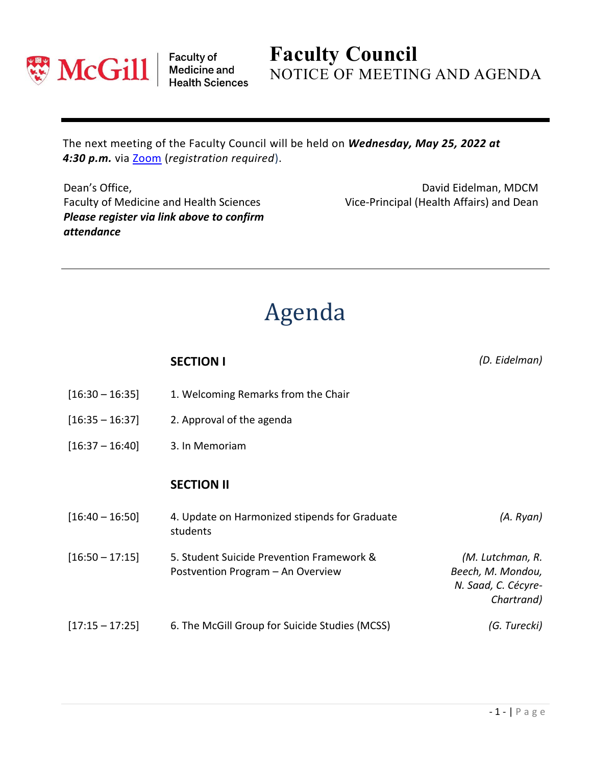

Faculty of<br>Medicine and<br>Health Sciences

**Faculty Council** NOTICE OF MEETING AND AGENDA

The next meeting of the Faculty Council will be held on *Wednesday, May 25, 2022 at 4:30 p.m.* via [Zoom](https://mcgill.zoom.us/j/83988342006?pwd=YzlSdFVPYWg4em1kVVI2Wm84YzNsQT09) (*registration required*).

Dean's Office, Faculty of Medicine and Health Sciences *Please register via link above to confirm attendance*

David Eidelman, MDCM Vice-Principal (Health Affairs) and Dean

## Agenda

|                   | <b>SECTION I</b>                                                               | (D. Eidelman)                                                              |
|-------------------|--------------------------------------------------------------------------------|----------------------------------------------------------------------------|
| $[16:30 - 16:35]$ | 1. Welcoming Remarks from the Chair                                            |                                                                            |
| $[16:35 - 16:37]$ | 2. Approval of the agenda                                                      |                                                                            |
| $[16:37 - 16:40]$ | 3. In Memoriam                                                                 |                                                                            |
|                   | <b>SECTION II</b>                                                              |                                                                            |
| $[16:40 - 16:50]$ | 4. Update on Harmonized stipends for Graduate<br>students                      | (A. Ryan)                                                                  |
| $[16:50 - 17:15]$ | 5. Student Suicide Prevention Framework &<br>Postvention Program - An Overview | (M. Lutchman, R.<br>Beech, M. Mondou,<br>N. Saad, C. Cécyre-<br>Chartrand) |
| $[17:15 - 17:25]$ | 6. The McGill Group for Suicide Studies (MCSS)                                 | (G. Turecki)                                                               |